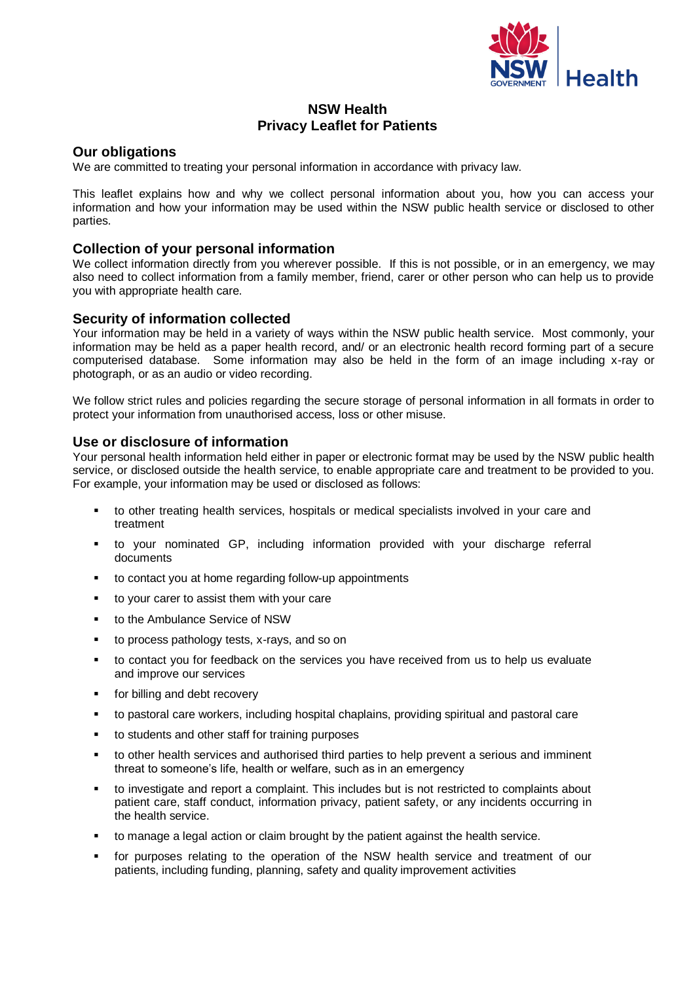

# **NSW Health Privacy Leaflet for Patients**

## **Our obligations**

We are committed to treating your personal information in accordance with privacy law.

This leaflet explains how and why we collect personal information about you, how you can access your information and how your information may be used within the NSW public health service or disclosed to other parties.

## **Collection of your personal information**

We collect information directly from you wherever possible. If this is not possible, or in an emergency, we may also need to collect information from a family member, friend, carer or other person who can help us to provide you with appropriate health care.

## **Security of information collected**

Your information may be held in a variety of ways within the NSW public health service. Most commonly, your information may be held as a paper health record, and/ or an electronic health record forming part of a secure computerised database. Some information may also be held in the form of an image including x-ray or photograph, or as an audio or video recording.

We follow strict rules and policies regarding the secure storage of personal information in all formats in order to protect your information from unauthorised access, loss or other misuse.

## **Use or disclosure of information**

Your personal health information held either in paper or electronic format may be used by the NSW public health service, or disclosed outside the health service, to enable appropriate care and treatment to be provided to you. For example, your information may be used or disclosed as follows:

- to other treating health services, hospitals or medical specialists involved in your care and treatment
- to your nominated GP, including information provided with your discharge referral documents
- to contact you at home regarding follow-up appointments
- to your carer to assist them with your care
- to the Ambulance Service of NSW
- to process pathology tests, x-rays, and so on
- to contact you for feedback on the services you have received from us to help us evaluate and improve our services
- for billing and debt recovery
- to pastoral care workers, including hospital chaplains, providing spiritual and pastoral care
- to students and other staff for training purposes
- to other health services and authorised third parties to help prevent a serious and imminent threat to someone's life, health or welfare, such as in an emergency
- to investigate and report a complaint. This includes but is not restricted to complaints about patient care, staff conduct, information privacy, patient safety, or any incidents occurring in the health service.
- to manage a legal action or claim brought by the patient against the health service.
- for purposes relating to the operation of the NSW health service and treatment of our patients, including funding, planning, safety and quality improvement activities